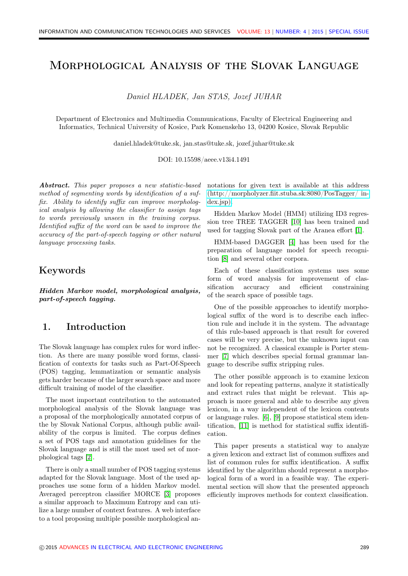# Morphological Analysis of the Slovak Language

Daniel HLADEK, Jan STAS, Jozef JUHAR

Department of Electronics and Multimedia Communications, Faculty of Electrical Engineering and Informatics, Technical University of Kosice, Park Komenskeho 13, 04200 Kosice, Slovak Republic

daniel.hladek@tuke.sk, jan.stas@tuke.sk, jozef.juhar@tuke.sk

DOI: 10.15598/aeee.v13i4.1491

Abstract. This paper proposes a new statistic-based method of segmenting words by identification of a suffix. Ability to identify suffix can improve morphological analysis by allowing the classifier to assign tags to words previously unseen in the training corpus. Identified suffix of the word can be used to improve the accuracy of the part-of-speech tagging or other natural language processing tasks.

### Keywords

Hidden Markov model, morphological analysis, part-of-speech tagging.

## 1. Introduction

The Slovak language has complex rules for word inflection. As there are many possible word forms, classification of contexts for tasks such as Part-Of-Speech (POS) tagging, lemmatization or semantic analysis gets harder because of the larger search space and more difficult training of model of the classifier.

The most important contribution to the automated morphological analysis of the Slovak language was a proposal of the morphologically annotated corpus of the by Slovak National Corpus, although public availability of the corpus is limited. The corpus defines a set of POS tags and annotation guidelines for the Slovak language and is still the most used set of morphological tags [\[2\]](#page-4-0).

There is only a small number of POS tagging systems adapted for the Slovak language. Most of the used approaches use some form of a hidden Markov model. Averaged perceptron classifier MORCE [\[3\]](#page-4-1) proposes a similar approach to Maximum Entropy and can utilize a large number of context features. A web interface to a tool proposing multiple possible morphological annotations for given text is available at this address [\(http://morpholyzer.fiit.stuba.sk:8080/PosTagger/ in](http://morpholyzer.fiit.stuba.sk:8080/PosTagger/index.jsp)[dex.jsp\).](http://morpholyzer.fiit.stuba.sk:8080/PosTagger/index.jsp)

Hidden Markov Model (HMM) utilizing ID3 regression tree TREE TAGGER [\[10\]](#page-4-2) has been trained and used for tagging Slovak part of the Aranea effort [\[1\]](#page-4-3).

HMM-based DAGGER [\[4\]](#page-4-4) has been used for the preparation of language model for speech recognition [\[8\]](#page-4-5) and several other corpora.

Each of these classification systems uses some form of word analysis for improvement of classification accuracy and efficient constraining of the search space of possible tags.

One of the possible approaches to identify morphological suffix of the word is to describe each inflection rule and include it in the system. The advantage of this rule-based approach is that result for covered cases will be very precise, but the unknown input can not be recognized. A classical example is Porter stemmer [\[7\]](#page-4-6) which describes special formal grammar language to describe suffix stripping rules.

The other possible approach is to examine lexicon and look for repeating patterns, analyze it statistically and extract rules that might be relevant. This approach is more general and able to describe any given lexicon, in a way independent of the lexicon contents or language rules. [\[6\]](#page-4-7), [\[9\]](#page-4-8) propose statistical stem identification, [\[11\]](#page-4-9) is method for statistical suffix identification.

This paper presents a statistical way to analyze a given lexicon and extract list of common suffixes and list of common rules for suffix identification. A suffix identified by the algorithm should represent a morphological form of a word in a feasible way. The experimental section will show that the presented approach efficiently improves methods for context classification.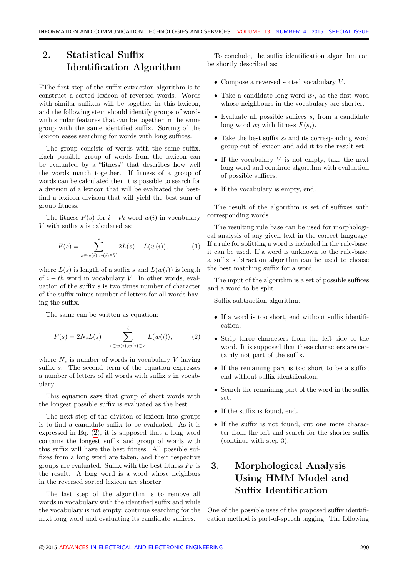# 2. Statistical Suffix Identification Algorithm

FThe first step of the suffix extraction algorithm is to construct a sorted lexicon of reversed words. Words with similar suffixes will be together in this lexicon. and the following stem should identify groups of words with similar features that can be together in the same group with the same identified suffix. Sorting of the lexicon eases searching for words with long suffices.

The group consists of words with the same suffix. Each possible group of words from the lexicon can be evaluated by a "fitness" that describes how well the words match together. If fitness of a group of words can be calculated then it is possible to search for a division of a lexicon that will be evaluated the bestfind a lexicon division that will yield the best sum of group fitness.

The fitness  $F(s)$  for  $i - th$  word  $w(i)$  in vocabulary V with suffix  $s$  is calculated as:

$$
F(s) = \sum_{s \in w(i), w(i) \in V}^{i} 2L(s) - L(w(i)),
$$
 (1)

where  $L(s)$  is length of a suffix s and  $L(w(i))$  is length of  $i - th$  word in vocabulary V. In other words, evaluation of the suffix s is two times number of character of the suffix minus number of letters for all words having the suffix.

The same can be written as equation:

<span id="page-1-0"></span>
$$
F(s) = 2N_s L(s) - \sum_{s \in w(i), w(i) \in V}^{i} L(w(i)),
$$
 (2)

where  $N_s$  is number of words in vocabulary V having suffix s. The second term of the equation expresses a number of letters of all words with suffix s in vocabulary.

This equation says that group of short words with the longest possible suffix is evaluated as the best.

The next step of the division of lexicon into groups is to find a candidate suffix to be evaluated. As it is expressed in Eq. [\(2\)](#page-1-0), it is supposed that a long word contains the longest suffix and group of words with this suffix will have the best fitness. All possible suffixes from a long word are taken, and their respective groups are evaluated. Suffix with the best fitness  $F_V$  is the result. A long word is a word whose neighbors in the reversed sorted lexicon are shorter.

The last step of the algorithm is to remove all words in vocabulary with the identified suffix and while the vocabulary is not empty, continue searching for the next long word and evaluating its candidate suffices.

To conclude, the suffix identification algorithm can be shortly described as:

- Compose a reversed sorted vocabulary  $V$ .
- Take a candidate long word  $w_l$ , as the first word whose neighbours in the vocabulary are shorter.
- Evaluate all possible suffices  $s_i$  from a candidate long word  $w_l$  with fitness  $F(s_i)$ .
- Take the best suffix  $s_i$  and its corresponding word group out of lexicon and add it to the result set.
- If the vocabulary  $V$  is not empty, take the next long word and continue algorithm with evaluation of possible suffices.
- If the vocabulary is empty, end.

The result of the algorithm is set of suffixes with corresponding words.

The resulting rule base can be used for morphological analysis of any given text in the correct language. If a rule for splitting a word is included in the rule-base, it can be used. If a word is unknown to the rule-base, a suffix subtraction algorithm can be used to choose the best matching suffix for a word.

The input of the algorithm is a set of possible suffices and a word to be split.

Suffix subtraction algorithm:

- If a word is too short, end without suffix identification.
- Strip three characters from the left side of the word. It is supposed that these characters are certainly not part of the suffix.
- If the remaining part is too short to be a suffix, end without suffix identification.
- Search the remaining part of the word in the suffix set.
- If the suffix is found, end.
- If the suffix is not found, cut one more character from the left and search for the shorter suffix (continue with step 3).

# 3. Morphological Analysis Using HMM Model and Suffix Identification

One of the possible uses of the proposed suffix identification method is part-of-speech tagging. The following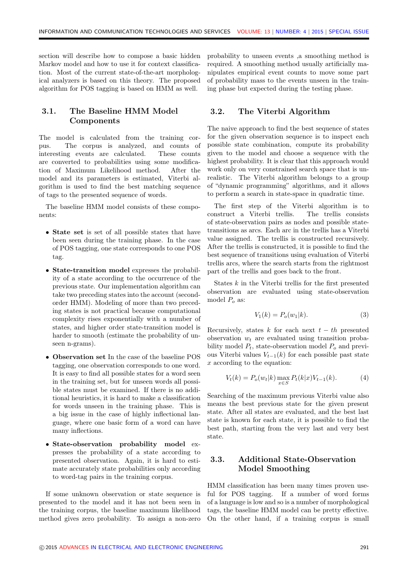section will describe how to compose a basic hidden Markov model and how to use it for context classification. Most of the current state-of-the-art morphological analyzers is based on this theory. The proposed algorithm for POS tagging is based on HMM as well.

### 3.1. The Baseline HMM Model Components

The model is calculated from the training corpus. The corpus is analyzed, and counts of interesting events are calculated. These counts are converted to probabilities using some modification of Maximum Likelihood method. After the model and its parameters is estimated, Viterbi algorithm is used to find the best matching sequence of tags to the presented sequence of words.

The baseline HMM model consists of these components:

- State set is set of all possible states that have been seen during the training phase. In the case of POS tagging, one state corresponds to one POS tag.
- State-transition model expresses the probability of a state according to the occurrence of the previous state. Our implementation algorithm can take two preceding states into the account (secondorder HMM). Modeling of more than two preceding states is not practical because computational complexity rises exponentially with a number of states, and higher order state-transition model is harder to smooth (estimate the probability of unseen n-grams).
- Observation set In the case of the baseline POS tagging, one observation corresponds to one word. It is easy to find all possible states for a word seen in the training set, but for unseen words all possible states must be examined. If there is no additional heuristics, it is hard to make a classification for words unseen in the training phase. This is a big issue in the case of highly inflectional language, where one basic form of a word can have many inflections.
- State-observation probability model expresses the probability of a state according to presented observation. Again, it is hard to estimate accurately state probabilities only according to word-tag pairs in the training corpus.

If some unknown observation or state sequence is presented to the model and it has not been seen in the training corpus, the baseline maximum likelihood method gives zero probability. To assign a non-zero

probability to unseen events ,a smoothing method is required. A smoothing method usually artificially manipulates empirical event counts to move some part of probability mass to the events unseen in the training phase but expected during the testing phase.

#### 3.2. The Viterbi Algorithm

The naive approach to find the best sequence of states for the given observation sequence is to inspect each possible state combination, compute its probability given to the model and choose a sequence with the highest probability. It is clear that this approach would work only on very constrained search space that is unrealistic. The Viterbi algorithm belongs to a group of "dynamic programming" algorithms, and it allows to perform a search in state-space in quadratic time.

The first step of the Viterbi algorithm is to construct a Viterbi trellis. The trellis consists of state-observation pairs as nodes and possible statetransitions as arcs. Each arc in the trellis has a Viterbi value assigned. The trellis is constructed recursively. After the trellis is constructed, it is possible to find the best sequence of transitions using evaluation of Viterbi trellis arcs, where the search starts from the rightmost part of the trellis and goes back to the front.

States k in the Viterbi trellis for the first presented observation are evaluated using state-observation model  $P<sub>o</sub>$  as:

$$
V_1(k) = P_o(w_1|k). \t\t(3)
$$

Recursively, states k for each next  $t - th$  presented observation  $w_t$  are evaluated using transition probability model  $P_t$ , state-observation model  $P_o$  and previous Viterbi values  $V_{t-1}(k)$  for each possible past state x according to the equation:

$$
V_t(k) = P_o(w_t|k) \max_{x \in S} P_t(k|x)V_{t-1}(k).
$$
 (4)

Searching of the maximum previous Viterbi value also means the best previous state for the given present state. After all states are evaluated, and the best last state is known for each state, it is possible to find the best path, starting from the very last and very best state.

### 3.3. Additional State-Observation Model Smoothing

HMM classification has been many times proven useful for POS tagging. If a number of word forms of a language is low and so is a number of morphological tags, the baseline HMM model can be pretty effective. On the other hand, if a training corpus is small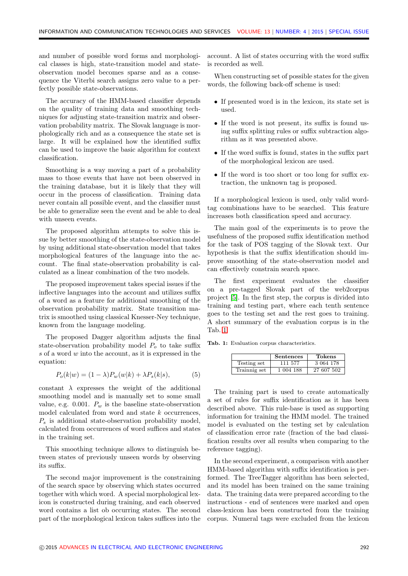and number of possible word forms and morphological classes is high, state-transition model and stateobservation model becomes sparse and as a consequence the Viterbi search assigns zero value to a perfectly possible state-observations.

The accuracy of the HMM-based classifier depends on the quality of training data and smoothing techniques for adjusting state-transition matrix and observation probability matrix. The Slovak language is morphologically rich and as a consequence the state set is large. It will be explained how the identified suffix can be used to improve the basic algorithm for context classification.

Smoothing is a way moving a part of a probability mass to those events that have not been observed in the training database, but it is likely that they will occur in the process of classification. Training data never contain all possible event, and the classifier must be able to generalize seen the event and be able to deal with unseen events.

The proposed algorithm attempts to solve this issue by better smoothing of the state-observation model by using additional state-observation model that takes morphological features of the language into the account. The final state-observation probability is calculated as a linear combination of the two models.

The proposed improvement takes special issues if the inflective languages into the account and utilizes suffix of a word as a feature for additional smoothing of the observation probability matrix. State transition matrix is smoothed using classical Knesser-Ney technique, known from the language modeling.

The proposed Dagger algorithm adjusts the final state-observation probability model  $P<sub>o</sub>$  to take suffix  $s$  of a word  $w$  into the account, as it is expressed in the equation:

$$
P_o(k|w) = (1 - \lambda)P_w(w|k) + \lambda P_s(k|s), \tag{5}
$$

constant  $\lambda$  expresses the weight of the additional smoothing model and is manually set to some small value, e.g. 0.001.  $P_w$  is the baseline state-observation model calculated from word and state k occurrences,  $P<sub>s</sub>$  is additional state-observation probability model, calculated from occurrences of word suffices and states in the training set.

This smoothing technique allows to distinguish between states of previously unseen words by observing its suffix.

The second major improvement is the constraining of the search space by observing which states occurred together with which word. A special morphological lexicon is constructed during training, and each observed word contains a list ob occurring states. The second part of the morphological lexicon takes suffices into the account. A list of states occurring with the word suffix is recorded as well.

When constructing set of possible states for the given words, the following back-off scheme is used:

- If presented word is in the lexicon, its state set is used.
- If the word is not present, its suffix is found using suffix splitting rules or suffix subtraction algorithm as it was presented above.
- If the word suffix is found, states in the suffix part of the morphological lexicon are used.
- If the word is too short or too long for suffix extraction, the unknown tag is proposed.

If a morphological lexicon is used, only valid wordtag combinations have to be searched. This feature increases both classification speed and accuracy.

The main goal of the experiments is to prove the usefulness of the proposed suffix identification method for the task of POS tagging of the Slovak text. Our hypothesis is that the suffix identification should improve smoothing of the state-observation model and can effectively constrain search space.

The first experiment evaluates the classifier on a pre-tagged Slovak part of the web2corpus project [\[5\]](#page-4-10). In the first step, the corpus is divided into training and testing part, where each tenth sentence goes to the testing set and the rest goes to training. A short summary of the evaluation corpus is in the Tab. [1.](#page-3-0)

<span id="page-3-0"></span>Tab. 1: Evaluation corpus characteristics.

|              | <b>Sentences</b> | Tokens     |
|--------------|------------------|------------|
| Testing set  | 111 577          | 3 064 178  |
| Trainnig set | 1 004 188        | 27 607 502 |

The training part is used to create automatically a set of rules for suffix identification as it has been described above. This rule-base is used as supporting information for training the HMM model. The trained model is evaluated on the testing set by calculation of classification error rate (fraction of the bad classification results over all results when comparing to the reference tagging).

In the second experiment, a comparison with another HMM-based algorithm with suffix identification is performed. The TreeTagger algorithm has been selected, and its model has been trained on the same training data. The training data were prepared according to the instructions - end of sentences were marked and open class-lexicon has been constructed from the training corpus. Numeral tags were excluded from the lexicon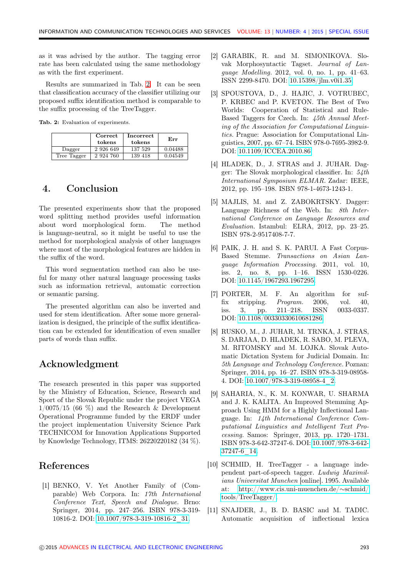as it was advised by the author. The tagging error rate has been calculated using the same methodology as with the first experiment.

Results are summarized in Tab. [2.](#page-4-11) It can be seen that classification accuracy of the classifier utilizing our proposed suffix identification method is comparable to the suffix processing of the TreeTagger.

<span id="page-4-11"></span>Tab. 2: Evaluation of experiments.

|             | Correct<br>tokens | Incorrect<br>tokens | Err     |
|-------------|-------------------|---------------------|---------|
| Dagger      | 2 9 2 6 6 4 9     | 137 529             | 0.04488 |
| Tree Tagger | 2 924 760         | 139 418             | 0.04549 |

## 4. Conclusion

The presented experiments show that the proposed word splitting method provides useful information about word morphological form. The method is language-neutral, so it might be useful to use the method for morphological analysis of other languages where most of the morphological features are hidden in the suffix of the word.

This word segmentation method can also be useful for many other natural language processing tasks such as information retrieval, automatic correction or semantic parsing.

The presented algorithm can also be inverted and used for stem identification. After some more generalization is designed, the principle of the suffix identification can be extended for identification of even smaller parts of words than suffix.

## Acknowledgment

The research presented in this paper was supported by the Ministry of Education, Science, Research and Sport of the Slovak Republic under the project VEGA  $1/0075/15$  (66 %) and the Research & Development Operational Programme funded by the ERDF under the project implementation University Science Park TECHNICOM for Innovation Applications Supported by Knowledge Technology, ITMS: 26220220182 (34 %).

## References

<span id="page-4-3"></span>[1] BENKO, V. Yet Another Family of (Comparable) Web Corpora. In: 17th International Conference Text, Speech and Dialogue. Brno: Springer, 2014, pp. 247–256. ISBN 978-3-319- 10816-2. DOI: [10.1007/978-3-319-10816-2\\_31.](http://dx.doi.org/10.1007/978-3-319-10816-2_31)

- <span id="page-4-0"></span>[2] GARABIK, R. and M. SIMONIKOVA. Slovak Morphosyntactic Tagset. Journal of Language Modelling. 2012, vol. 0, no. 1, pp. 41–63. ISSN 2299-8470. DOI: [10.15398/jlm.v0i1.35.](http://dx.doi.org/10.15398/jlm.v0i1.35)
- <span id="page-4-1"></span>[3] SPOUSTOVA, D., J. HAJIC, J. VOTRUBEC, P. KRBEC and P. KVETON. The Best of Two Worlds: Cooperation of Statistical and Rule-Based Taggers for Czech. In: 45th Annual Meeting of the Association for Computational Linguistics. Prague: Association for Computational Linguistics, 2007, pp. 67–74. ISBN 978-0-7695-3982-9. DOI: [10.1109/ICCEA.2010.86.](http://dx.doi.org/10.1109/ICCEA.2010.86)
- <span id="page-4-4"></span>[4] HLADEK, D., J. STRAS and J. JUHAR. Dagger: The Slovak morphological classifier. In: 54th International Symposium ELMAR. Zadar: IEEE, 2012, pp. 195–198. ISBN 978-1-4673-1243-1.
- <span id="page-4-10"></span>[5] MAJLIS, M. and Z. ZABOKRTSKY. Dagger: Language Richness of the Web. In: 8th International Conference on Language Resources and Evaluation. Istambul: ELRA, 2012, pp. 23–25. ISBN 978-2-9517408-7-7.
- <span id="page-4-7"></span>[6] PAIK, J. H. and S. K. PARUI. A Fast Corpus-Based Stemme. Transactions on Asian Language Information Processing. 2011, vol. 10, iss. 2, no. 8, pp. 1–16. ISSN 1530-0226. DOI: [10.1145/1967293.1967295.](http://dx.doi.org/10.1145/1967293.1967295)
- <span id="page-4-6"></span>[7] PORTER, M. F. An algorithm for suffix stripping. Program. 2006, vol. 40, iss. 3, pp. 211–218. ISSN 0033-0337. DOI: [10.1108/00330330610681286.](http://dx.doi.org/10.1108/00330330610681286)
- <span id="page-4-5"></span>[8] RUSKO, M., J. JUHAR, M. TRNKA, J. STRAS, S. DARJAA, D. HLADEK, R. SABO, M. PLEVA, M. RITOMSKY and M. LOJKA. Slovak Automatic Dictation System for Judicial Domain. In: 5th Language and Technology Conference. Poznan: Springer, 2014, pp. 16–27. ISBN 978-3-319-08958- 4. DOI: [10.1007/978-3-319-08958-4\\_2.](http://dx.doi.org/10.1007/978-3-319-08958-4_2)
- <span id="page-4-8"></span>[9] SAHARIA, N., K. M. KONWAR, U. SHARMA and J. K. KALITA. An Improved Stemming Approach Using HMM for a Highly Inflectional Language. In: 14th International Conference Computational Linguistics and Intelligent Text Processing. Samos: Springer, 2013, pp. 1720–1731. ISBN 978-3-642-37247-6. DOI: [10.1007/978-3-642-](http://dx.doi.org/10.1007/978-3-642-37247-6_14) [37247-6\\_14.](http://dx.doi.org/10.1007/978-3-642-37247-6_14)
- <span id="page-4-2"></span>[10] SCHMID, H. TreeTagger - a language independent part-of-speech tagger. Ludwig Maximilians Universitat Munchen [online]. 1995. Available at: [http://www.cis.uni-muenchen.de/](http://www.cis.uni-muenchen.de/~schmid/tools/TreeTagger/)∼schmid/ [tools/TreeTagger/.](http://www.cis.uni-muenchen.de/~schmid/tools/TreeTagger/)
- <span id="page-4-9"></span>[11] SNAJDER, J., B. D. BASIC and M. TADIC. Automatic acquisition of inflectional lexica